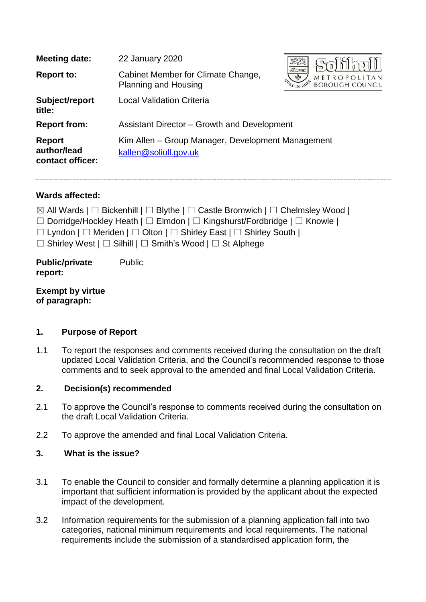| <b>Meeting date:</b>                             | 22 January 2020                                                            | $rac{1}{2}$<br>易<br>METROPOLITAN<br><b>BOROUGH COUNCIL</b> |
|--------------------------------------------------|----------------------------------------------------------------------------|------------------------------------------------------------|
| <b>Report to:</b>                                | Cabinet Member for Climate Change,<br>Planning and Housing                 |                                                            |
| Subject/report<br>title:                         | <b>Local Validation Criteria</b>                                           |                                                            |
| <b>Report from:</b>                              | Assistant Director - Growth and Development                                |                                                            |
| <b>Report</b><br>author/lead<br>contact officer: | Kim Allen – Group Manager, Development Management<br>kallen@soliull.gov.uk |                                                            |

### **Wards affected:**

 $\boxtimes$  All Wards |  $\Box$  Bickenhill |  $\Box$  Blythe |  $\Box$  Castle Bromwich |  $\Box$  Chelmsley Wood | ☐ Dorridge/Hockley Heath | ☐ Elmdon | ☐ Kingshurst/Fordbridge | ☐ Knowle | ☐ Lyndon | ☐ Meriden | ☐ Olton | ☐ Shirley East | ☐ Shirley South | ☐ Shirley West | ☐ Silhill | ☐ Smith's Wood | ☐ St Alphege **Public/private report:** Public

**Exempt by virtue of paragraph:**

### **1. Purpose of Report**

1.1 To report the responses and comments received during the consultation on the draft updated Local Validation Criteria, and the Council's recommended response to those comments and to seek approval to the amended and final Local Validation Criteria.

### **2. Decision(s) recommended**

- 2.1 To approve the Council's response to comments received during the consultation on the draft Local Validation Criteria.
- 2.2 To approve the amended and final Local Validation Criteria.
- **3. What is the issue?**
- 3.1 To enable the Council to consider and formally determine a planning application it is important that sufficient information is provided by the applicant about the expected impact of the development.
- 3.2 Information requirements for the submission of a planning application fall into two categories, national minimum requirements and local requirements. The national requirements include the submission of a standardised application form, the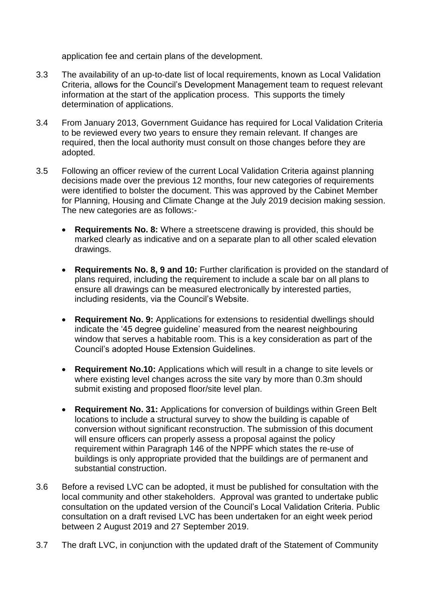application fee and certain plans of the development.

- 3.3 The availability of an up-to-date list of local requirements, known as Local Validation Criteria, allows for the Council's Development Management team to request relevant information at the start of the application process. This supports the timely determination of applications.
- 3.4 From January 2013, Government Guidance has required for Local Validation Criteria to be reviewed every two years to ensure they remain relevant. If changes are required, then the local authority must consult on those changes before they are adopted.
- 3.5 Following an officer review of the current Local Validation Criteria against planning decisions made over the previous 12 months, four new categories of requirements were identified to bolster the document. This was approved by the Cabinet Member for Planning, Housing and Climate Change at the July 2019 decision making session. The new categories are as follows:-
	- **Requirements No. 8:** Where a streetscene drawing is provided, this should be marked clearly as indicative and on a separate plan to all other scaled elevation drawings.
	- **Requirements No. 8, 9 and 10: Further clarification is provided on the standard of** plans required, including the requirement to include a scale bar on all plans to ensure all drawings can be measured electronically by interested parties, including residents, via the Council's Website.
	- **Requirement No. 9:** Applications for extensions to residential dwellings should indicate the '45 degree guideline' measured from the nearest neighbouring window that serves a habitable room. This is a key consideration as part of the Council's adopted House Extension Guidelines.
	- **Requirement No.10:** Applications which will result in a change to site levels or where existing level changes across the site vary by more than 0.3m should submit existing and proposed floor/site level plan.
	- **Requirement No. 31:** Applications for conversion of buildings within Green Belt locations to include a structural survey to show the building is capable of conversion without significant reconstruction. The submission of this document will ensure officers can properly assess a proposal against the policy requirement within Paragraph 146 of the NPPF which states the re-use of buildings is only appropriate provided that the buildings are of permanent and substantial construction.
- 3.6 Before a revised LVC can be adopted, it must be published for consultation with the local community and other stakeholders. Approval was granted to undertake public consultation on the updated version of the Council's Local Validation Criteria. Public consultation on a draft revised LVC has been undertaken for an eight week period between 2 August 2019 and 27 September 2019.
- 3.7 The draft LVC, in conjunction with the updated draft of the Statement of Community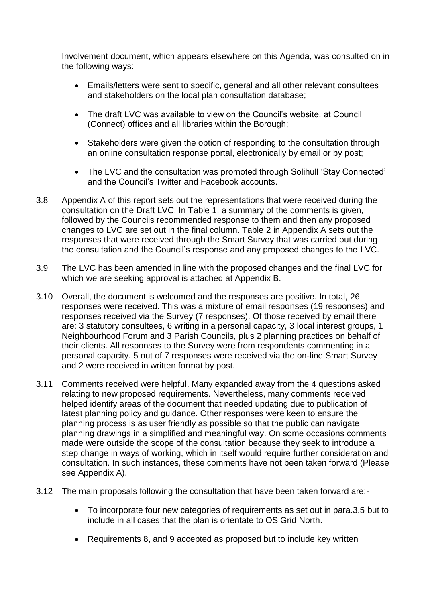Involvement document, which appears elsewhere on this Agenda, was consulted on in the following ways:

- Emails/letters were sent to specific, general and all other relevant consultees and stakeholders on the local plan consultation database;
- The draft LVC was available to view on the Council's website, at Council (Connect) offices and all libraries within the Borough;
- Stakeholders were given the option of responding to the consultation through an online consultation response portal, electronically by email or by post;
- The LVC and the consultation was promoted through Solihull 'Stay Connected' and the Council's Twitter and Facebook accounts.
- 3.8 Appendix A of this report sets out the representations that were received during the consultation on the Draft LVC. In Table 1, a summary of the comments is given, followed by the Councils recommended response to them and then any proposed changes to LVC are set out in the final column. Table 2 in Appendix A sets out the responses that were received through the Smart Survey that was carried out during the consultation and the Council's response and any proposed changes to the LVC.
- 3.9 The LVC has been amended in line with the proposed changes and the final LVC for which we are seeking approval is attached at Appendix B.
- 3.10 Overall, the document is welcomed and the responses are positive. In total, 26 responses were received. This was a mixture of email responses (19 responses) and responses received via the Survey (7 responses). Of those received by email there are: 3 statutory consultees, 6 writing in a personal capacity, 3 local interest groups, 1 Neighbourhood Forum and 3 Parish Councils, plus 2 planning practices on behalf of their clients. All responses to the Survey were from respondents commenting in a personal capacity. 5 out of 7 responses were received via the on-line Smart Survey and 2 were received in written format by post.
- 3.11 Comments received were helpful. Many expanded away from the 4 questions asked relating to new proposed requirements. Nevertheless, many comments received helped identify areas of the document that needed updating due to publication of latest planning policy and guidance. Other responses were keen to ensure the planning process is as user friendly as possible so that the public can navigate planning drawings in a simplified and meaningful way. On some occasions comments made were outside the scope of the consultation because they seek to introduce a step change in ways of working, which in itself would require further consideration and consultation. In such instances, these comments have not been taken forward (Please see Appendix A).
- 3.12 The main proposals following the consultation that have been taken forward are:-
	- To incorporate four new categories of requirements as set out in para.3.5 but to include in all cases that the plan is orientate to OS Grid North.
	- Requirements 8, and 9 accepted as proposed but to include key written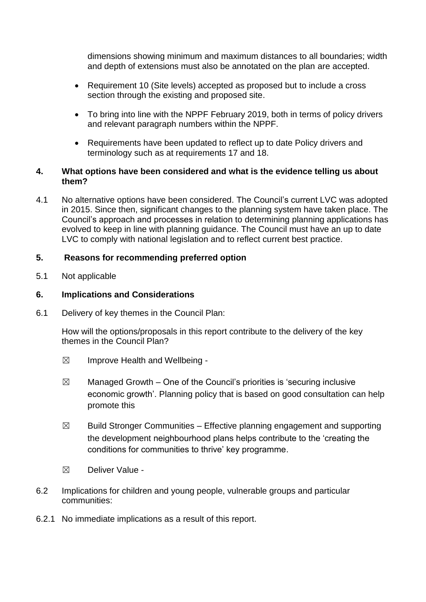dimensions showing minimum and maximum distances to all boundaries; width and depth of extensions must also be annotated on the plan are accepted.

- Requirement 10 (Site levels) accepted as proposed but to include a cross section through the existing and proposed site.
- To bring into line with the NPPF February 2019, both in terms of policy drivers and relevant paragraph numbers within the NPPF.
- Requirements have been updated to reflect up to date Policy drivers and terminology such as at requirements 17 and 18.

### **4. What options have been considered and what is the evidence telling us about them?**

4.1 No alternative options have been considered. The Council's current LVC was adopted in 2015. Since then, significant changes to the planning system have taken place. The Council's approach and processes in relation to determining planning applications has evolved to keep in line with planning guidance. The Council must have an up to date LVC to comply with national legislation and to reflect current best practice.

## **5. Reasons for recommending preferred option**

5.1 Not applicable

## **6. Implications and Considerations**

6.1 Delivery of key themes in the Council Plan:

How will the options/proposals in this report contribute to the delivery of the key themes in the Council Plan?

- $\boxtimes$  Improve Health and Wellbeing -
- $\boxtimes$  Managed Growth One of the Council's priorities is 'securing inclusive economic growth'. Planning policy that is based on good consultation can help promote this
- $\boxtimes$  Build Stronger Communities Effective planning engagement and supporting the development neighbourhood plans helps contribute to the 'creating the conditions for communities to thrive' key programme.
- ☒ Deliver Value -
- 6.2 Implications for children and young people, vulnerable groups and particular communities:
- 6.2.1 No immediate implications as a result of this report.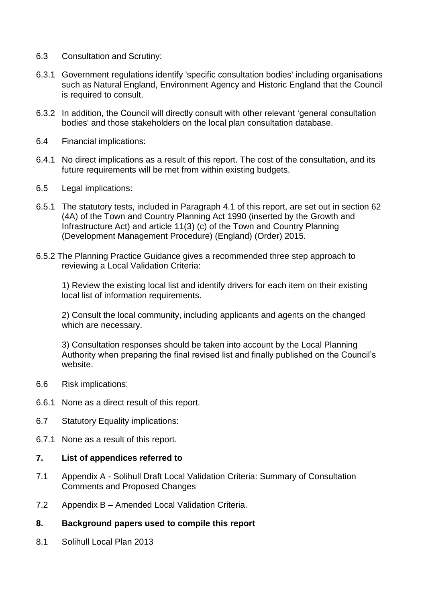- 6.3 Consultation and Scrutiny:
- 6.3.1 Government regulations identify 'specific consultation bodies' including organisations such as Natural England, Environment Agency and Historic England that the Council is required to consult.
- 6.3.2 In addition, the Council will directly consult with other relevant 'general consultation bodies' and those stakeholders on the local plan consultation database.
- 6.4 Financial implications:
- 6.4.1 No direct implications as a result of this report. The cost of the consultation, and its future requirements will be met from within existing budgets.
- 6.5 Legal implications:
- 6.5.1 The statutory tests, included in Paragraph 4.1 of this report, are set out in section 62 (4A) of the Town and Country Planning Act 1990 (inserted by the Growth and Infrastructure Act) and article 11(3) (c) of the Town and Country Planning (Development Management Procedure) (England) (Order) 2015.
- 6.5.2 The Planning Practice Guidance gives a recommended three step approach to reviewing a Local Validation Criteria:

1) Review the existing local list and identify drivers for each item on their existing local list of information requirements.

2) Consult the local community, including applicants and agents on the changed which are necessary.

3) Consultation responses should be taken into account by the Local Planning Authority when preparing the final revised list and finally published on the Council's website.

- 6.6 Risk implications:
- 6.6.1 None as a direct result of this report.
- 6.7 Statutory Equality implications:
- 6.7.1 None as a result of this report.

### **7. List of appendices referred to**

- 7.1 Appendix A Solihull Draft Local Validation Criteria: Summary of Consultation Comments and Proposed Changes
- 7.2 Appendix B Amended Local Validation Criteria.

### **8. Background papers used to compile this report**

8.1 Solihull Local Plan 2013